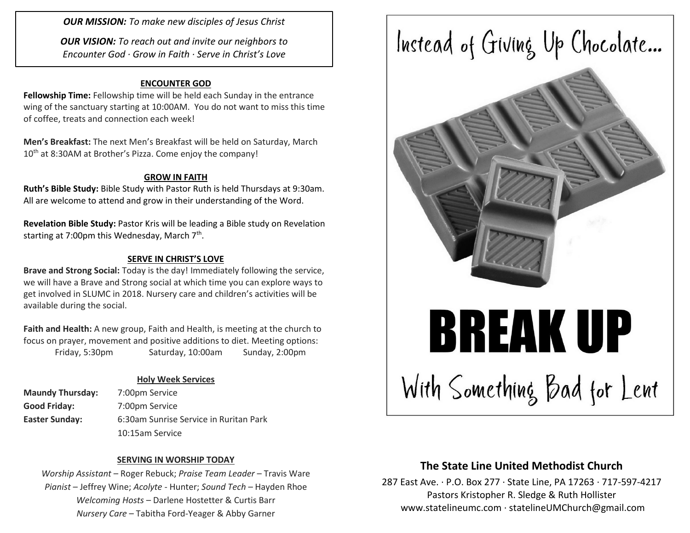*OUR MISSION: To make new disciples of Jesus Christ*

*OUR VISION: To reach out and invite our neighbors to Encounter God · Grow in Faith · Serve in Christ's Love*

### **ENCOUNTER GOD**

**Fellowship Time:** Fellowship time will be held each Sunday in the entrance wing of the sanctuary starting at 10:00AM. You do not want to miss this time of coffee, treats and connection each week!

**Men's Breakfast:** The next Men's Breakfast will be held on Saturday, March 10<sup>th</sup> at 8:30AM at Brother's Pizza. Come enjoy the company!

#### **GROW IN FAITH**

**Ruth's Bible Study:** Bible Study with Pastor Ruth is held Thursdays at 9:30am. All are welcome to attend and grow in their understanding of the Word.

**Revelation Bible Study:** Pastor Kris will be leading a Bible study on Revelation starting at 7:00pm this Wednesday, March 7<sup>th</sup>.

#### **SERVE IN CHRIST'S LOVE**

**Brave and Strong Social:** Today is the day! Immediately following the service, we will have a Brave and Strong social at which time you can explore ways to get involved in SLUMC in 2018. Nursery care and children's activities will be available during the social.

**Faith and Health:** A new group, Faith and Health, is meeting at the church to focus on prayer, movement and positive additions to diet. Meeting options: Friday, 5:30pm Saturday, 10:00am Sunday, 2:00pm

### **Holy Week Services**

| <b>Maundy Thursday:</b> | 7:00pm Service                         |  |
|-------------------------|----------------------------------------|--|
| Good Friday:            | 7:00pm Service                         |  |
| <b>Easter Sunday:</b>   | 6:30am Sunrise Service in Ruritan Park |  |
|                         | 10:15am Service                        |  |

### **SERVING IN WORSHIP TODAY**

*Worship Assistant* – Roger Rebuck; *Praise Team Leader* – Travis Ware *Pianist* – Jeffrey Wine; *Acolyte* - Hunter; *Sound Tech* – Hayden Rhoe *Welcoming Hosts* – Darlene Hostetter & Curtis Barr *Nursery Care* – Tabitha Ford-Yeager & Abby Garner



### **The State Line United Methodist Church**

287 East Ave. · P.O. Box 277 · State Line, PA 17263 · 717-597-4217 Pastors Kristopher R. Sledge & Ruth Hollister [www.statelineumc.com](http://www.statelineumc.com/) · statelineUMChurch@gmail.com